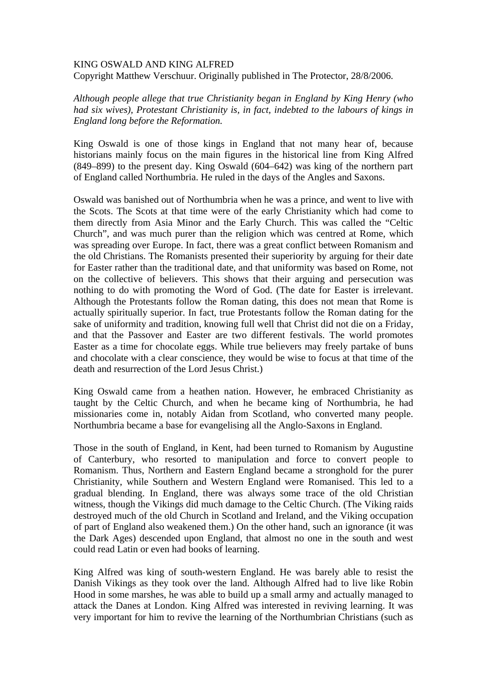## KING OSWALD AND KING ALFRED

Copyright Matthew Verschuur. Originally published in The Protector, 28/8/2006.

*Although people allege that true Christianity began in England by King Henry (who had six wives), Protestant Christianity is, in fact, indebted to the labours of kings in England long before the Reformation.* 

King Oswald is one of those kings in England that not many hear of, because historians mainly focus on the main figures in the historical line from King Alfred (849–899) to the present day. King Oswald (604–642) was king of the northern part of England called Northumbria. He ruled in the days of the Angles and Saxons.

Oswald was banished out of Northumbria when he was a prince, and went to live with the Scots. The Scots at that time were of the early Christianity which had come to them directly from Asia Minor and the Early Church. This was called the "Celtic Church", and was much purer than the religion which was centred at Rome, which was spreading over Europe. In fact, there was a great conflict between Romanism and the old Christians. The Romanists presented their superiority by arguing for their date for Easter rather than the traditional date, and that uniformity was based on Rome, not on the collective of believers. This shows that their arguing and persecution was nothing to do with promoting the Word of God. (The date for Easter is irrelevant. Although the Protestants follow the Roman dating, this does not mean that Rome is actually spiritually superior. In fact, true Protestants follow the Roman dating for the sake of uniformity and tradition, knowing full well that Christ did not die on a Friday, and that the Passover and Easter are two different festivals. The world promotes Easter as a time for chocolate eggs. While true believers may freely partake of buns and chocolate with a clear conscience, they would be wise to focus at that time of the death and resurrection of the Lord Jesus Christ.)

King Oswald came from a heathen nation. However, he embraced Christianity as taught by the Celtic Church, and when he became king of Northumbria, he had missionaries come in, notably Aidan from Scotland, who converted many people. Northumbria became a base for evangelising all the Anglo-Saxons in England.

Those in the south of England, in Kent, had been turned to Romanism by Augustine of Canterbury, who resorted to manipulation and force to convert people to Romanism. Thus, Northern and Eastern England became a stronghold for the purer Christianity, while Southern and Western England were Romanised. This led to a gradual blending. In England, there was always some trace of the old Christian witness, though the Vikings did much damage to the Celtic Church. (The Viking raids destroyed much of the old Church in Scotland and Ireland, and the Viking occupation of part of England also weakened them.) On the other hand, such an ignorance (it was the Dark Ages) descended upon England, that almost no one in the south and west could read Latin or even had books of learning.

King Alfred was king of south-western England. He was barely able to resist the Danish Vikings as they took over the land. Although Alfred had to live like Robin Hood in some marshes, he was able to build up a small army and actually managed to attack the Danes at London. King Alfred was interested in reviving learning. It was very important for him to revive the learning of the Northumbrian Christians (such as